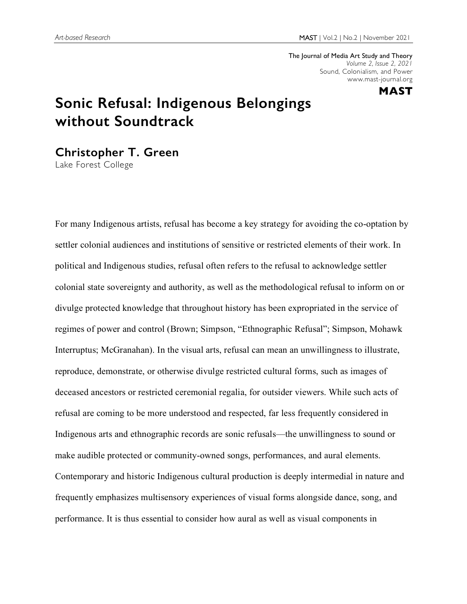The Journal of Media Art Study and Theory *Volume 2, Issue 2, 2021* Sound, Colonialism, and Power www.mast-journal.org



## **Sonic Refusal: Indigenous Belongings without Soundtrack**

**Christopher T. Green**

Lake Forest College

For many Indigenous artists, refusal has become a key strategy for avoiding the co-optation by settler colonial audiences and institutions of sensitive or restricted elements of their work. In political and Indigenous studies, refusal often refers to the refusal to acknowledge settler colonial state sovereignty and authority, as well as the methodological refusal to inform on or divulge protected knowledge that throughout history has been expropriated in the service of regimes of power and control (Brown; Simpson, "Ethnographic Refusal"; Simpson, Mohawk Interruptus; McGranahan). In the visual arts, refusal can mean an unwillingness to illustrate, reproduce, demonstrate, or otherwise divulge restricted cultural forms, such as images of deceased ancestors or restricted ceremonial regalia, for outsider viewers. While such acts of refusal are coming to be more understood and respected, far less frequently considered in Indigenous arts and ethnographic records are sonic refusals—the unwillingness to sound or make audible protected or community-owned songs, performances, and aural elements. Contemporary and historic Indigenous cultural production is deeply intermedial in nature and frequently emphasizes multisensory experiences of visual forms alongside dance, song, and performance. It is thus essential to consider how aural as well as visual components in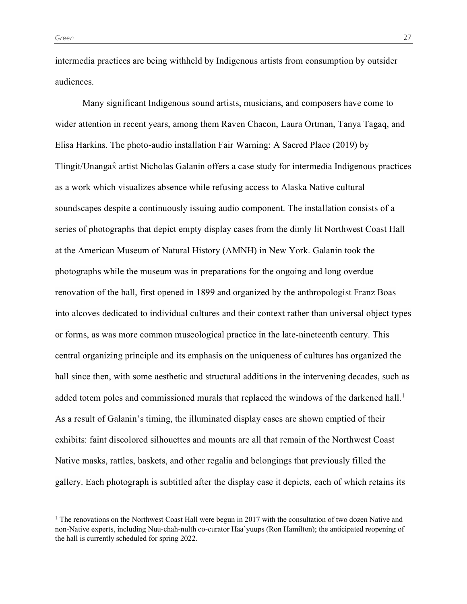**.** 

intermedia practices are being withheld by Indigenous artists from consumption by outsider audiences.

Many significant Indigenous sound artists, musicians, and composers have come to wider attention in recent years, among them Raven Chacon, Laura Ortman, Tanya Tagaq, and Elisa Harkins. The photo-audio installation Fair Warning: A Sacred Place (2019) by Tlingit/Unangax̂ artist Nicholas Galanin offers a case study for intermedia Indigenous practices as a work which visualizes absence while refusing access to Alaska Native cultural soundscapes despite a continuously issuing audio component. The installation consists of a series of photographs that depict empty display cases from the dimly lit Northwest Coast Hall at the American Museum of Natural History (AMNH) in New York. Galanin took the photographs while the museum was in preparations for the ongoing and long overdue renovation of the hall, first opened in 1899 and organized by the anthropologist Franz Boas into alcoves dedicated to individual cultures and their context rather than universal object types or forms, as was more common museological practice in the late-nineteenth century. This central organizing principle and its emphasis on the uniqueness of cultures has organized the hall since then, with some aesthetic and structural additions in the intervening decades, such as added totem poles and commissioned murals that replaced the windows of the darkened hall.<sup>1</sup> As a result of Galanin's timing, the illuminated display cases are shown emptied of their exhibits: faint discolored silhouettes and mounts are all that remain of the Northwest Coast Native masks, rattles, baskets, and other regalia and belongings that previously filled the gallery. Each photograph is subtitled after the display case it depicts, each of which retains its

<sup>&</sup>lt;sup>1</sup> The renovations on the Northwest Coast Hall were begun in 2017 with the consultation of two dozen Native and non-Native experts, including Nuu-chah-nulth co-curator Haa'yuups (Ron Hamilton); the anticipated reopening of the hall is currently scheduled for spring 2022.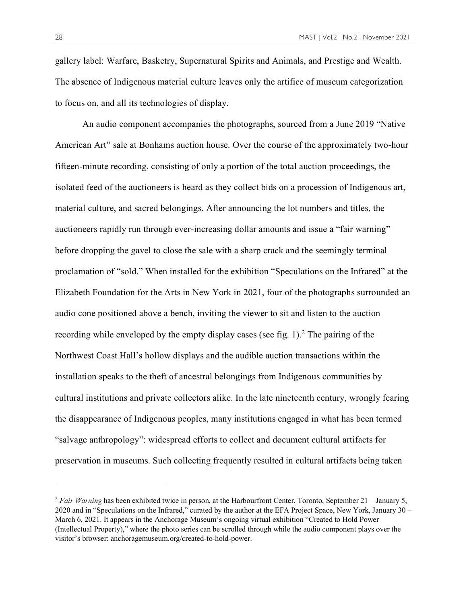gallery label: Warfare, Basketry, Supernatural Spirits and Animals, and Prestige and Wealth. The absence of Indigenous material culture leaves only the artifice of museum categorization to focus on, and all its technologies of display.

An audio component accompanies the photographs, sourced from a June 2019 "Native American Art" sale at Bonhams auction house. Over the course of the approximately two-hour fifteen-minute recording, consisting of only a portion of the total auction proceedings, the isolated feed of the auctioneers is heard as they collect bids on a procession of Indigenous art, material culture, and sacred belongings. After announcing the lot numbers and titles, the auctioneers rapidly run through ever-increasing dollar amounts and issue a "fair warning" before dropping the gavel to close the sale with a sharp crack and the seemingly terminal proclamation of "sold." When installed for the exhibition "Speculations on the Infrared" at the Elizabeth Foundation for the Arts in New York in 2021, four of the photographs surrounded an audio cone positioned above a bench, inviting the viewer to sit and listen to the auction recording while enveloped by the empty display cases (see fig.  $1$ ).<sup>2</sup> The pairing of the Northwest Coast Hall's hollow displays and the audible auction transactions within the installation speaks to the theft of ancestral belongings from Indigenous communities by cultural institutions and private collectors alike. In the late nineteenth century, wrongly fearing the disappearance of Indigenous peoples, many institutions engaged in what has been termed "salvage anthropology": widespread efforts to collect and document cultural artifacts for preservation in museums. Such collecting frequently resulted in cultural artifacts being taken

<u>.</u>

<sup>&</sup>lt;sup>2</sup> *Fair Warning* has been exhibited twice in person, at the Harbourfront Center, Toronto, September 21 – January 5, 2020 and in "Speculations on the Infrared," curated by the author at the EFA Project Space, New York, January 30 – March 6, 2021. It appears in the Anchorage Museum's ongoing virtual exhibition "Created to Hold Power (Intellectual Property)," where the photo series can be scrolled through while the audio component plays over the visitor's browser: anchoragemuseum.org/created-to-hold-power.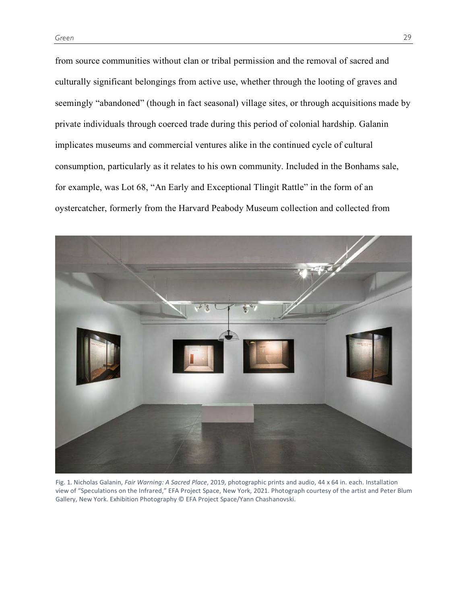from source communities without clan or tribal permission and the removal of sacred and culturally significant belongings from active use, whether through the looting of graves and seemingly "abandoned" (though in fact seasonal) village sites, or through acquisitions made by private individuals through coerced trade during this period of colonial hardship. Galanin implicates museums and commercial ventures alike in the continued cycle of cultural consumption, particularly as it relates to his own community. Included in the Bonhams sale, for example, was Lot 68, "An Early and Exceptional Tlingit Rattle" in the form of an oystercatcher, formerly from the Harvard Peabody Museum collection and collected from



Fig. 1. Nicholas Galanin, *Fair Warning: A Sacred Place*, 2019, photographic prints and audio, 44 x 64 in. each. Installation view of "Speculations on the Infrared," EFA Project Space, New York, 2021. Photograph courtesy of the artist and Peter Blum Gallery, New York. Exhibition Photography © EFA Project Space/Yann Chashanovski.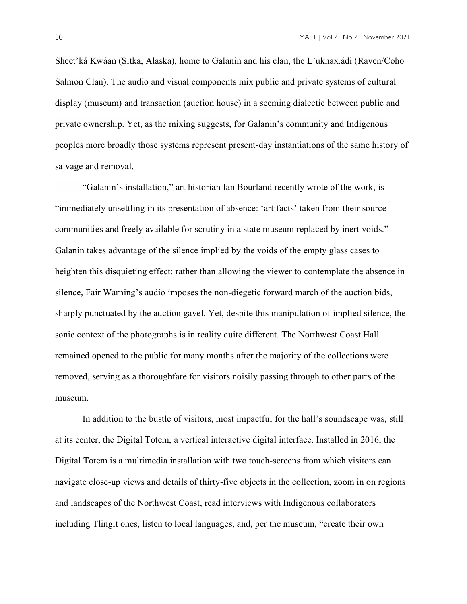Sheet'ká Kwáan (Sitka, Alaska), home to Galanin and his clan, the L'uknax.ádi (Raven/Coho Salmon Clan). The audio and visual components mix public and private systems of cultural display (museum) and transaction (auction house) in a seeming dialectic between public and private ownership. Yet, as the mixing suggests, for Galanin's community and Indigenous peoples more broadly those systems represent present-day instantiations of the same history of salvage and removal.

"Galanin's installation," art historian Ian Bourland recently wrote of the work, is "immediately unsettling in its presentation of absence: 'artifacts' taken from their source communities and freely available for scrutiny in a state museum replaced by inert voids." Galanin takes advantage of the silence implied by the voids of the empty glass cases to heighten this disquieting effect: rather than allowing the viewer to contemplate the absence in silence, Fair Warning's audio imposes the non-diegetic forward march of the auction bids, sharply punctuated by the auction gavel. Yet, despite this manipulation of implied silence, the sonic context of the photographs is in reality quite different. The Northwest Coast Hall remained opened to the public for many months after the majority of the collections were removed, serving as a thoroughfare for visitors noisily passing through to other parts of the museum.

In addition to the bustle of visitors, most impactful for the hall's soundscape was, still at its center, the Digital Totem, a vertical interactive digital interface. Installed in 2016, the Digital Totem is a multimedia installation with two touch-screens from which visitors can navigate close-up views and details of thirty-five objects in the collection, zoom in on regions and landscapes of the Northwest Coast, read interviews with Indigenous collaborators including Tlingit ones, listen to local languages, and, per the museum, "create their own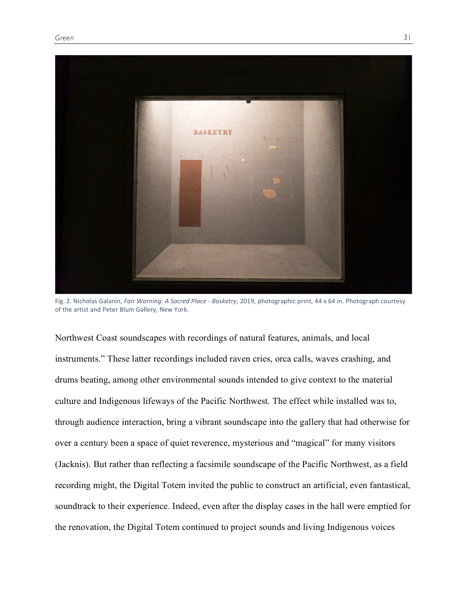

Fig. 2. Nicholas Galanin, *Fair Warning: A Sacred Place - Basketry*, 2019, photographic print, 44 x 64 in. Photograph courtesy of the artist and Peter Blum Gallery, New York.

Northwest Coast soundscapes with recordings of natural features, animals, and local instruments." These latter recordings included raven cries, orca calls, waves crashing, and drums beating, among other environmental sounds intended to give context to the material culture and Indigenous lifeways of the Pacific Northwest. The effect while installed was to, through audience interaction, bring a vibrant soundscape into the gallery that had otherwise for over a century been a space of quiet reverence, mysterious and "magical" for many visitors (Jacknis). But rather than reflecting a facsimile soundscape of the Pacific Northwest, as a field recording might, the Digital Totem invited the public to construct an artificial, even fantastical, soundtrack to their experience. Indeed, even after the display cases in the hall were emptied for the renovation, the Digital Totem continued to project sounds and living Indigenous voices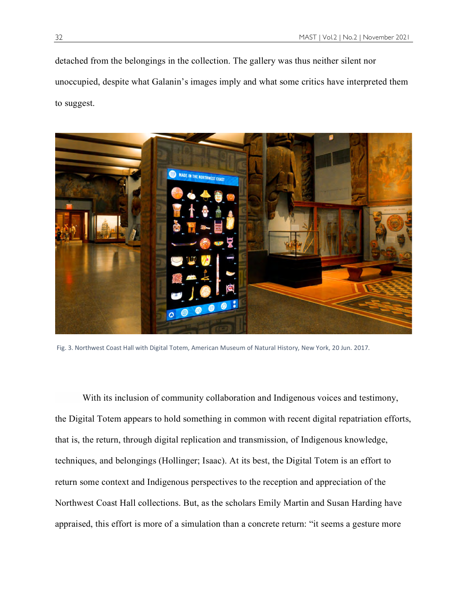detached from the belongings in the collection. The gallery was thus neither silent nor unoccupied, despite what Galanin's images imply and what some critics have interpreted them to suggest.



Fig. 3. Northwest Coast Hall with Digital Totem, American Museum of Natural History, New York, 20 Jun. 2017.

With its inclusion of community collaboration and Indigenous voices and testimony, the Digital Totem appears to hold something in common with recent digital repatriation efforts, that is, the return, through digital replication and transmission, of Indigenous knowledge, techniques, and belongings (Hollinger; Isaac). At its best, the Digital Totem is an effort to return some context and Indigenous perspectives to the reception and appreciation of the Northwest Coast Hall collections. But, as the scholars Emily Martin and Susan Harding have appraised, this effort is more of a simulation than a concrete return: "it seems a gesture more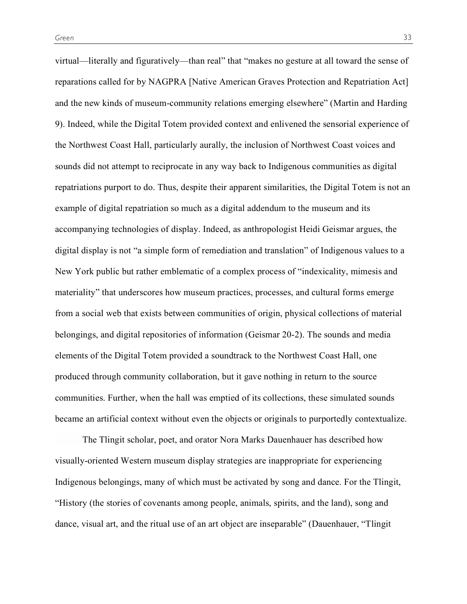virtual—literally and figuratively—than real" that "makes no gesture at all toward the sense of reparations called for by NAGPRA [Native American Graves Protection and Repatriation Act] and the new kinds of museum-community relations emerging elsewhere" (Martin and Harding 9). Indeed, while the Digital Totem provided context and enlivened the sensorial experience of the Northwest Coast Hall, particularly aurally, the inclusion of Northwest Coast voices and sounds did not attempt to reciprocate in any way back to Indigenous communities as digital repatriations purport to do. Thus, despite their apparent similarities, the Digital Totem is not an example of digital repatriation so much as a digital addendum to the museum and its accompanying technologies of display. Indeed, as anthropologist Heidi Geismar argues, the digital display is not "a simple form of remediation and translation" of Indigenous values to a New York public but rather emblematic of a complex process of "indexicality, mimesis and materiality" that underscores how museum practices, processes, and cultural forms emerge from a social web that exists between communities of origin, physical collections of material belongings, and digital repositories of information (Geismar 20-2). The sounds and media elements of the Digital Totem provided a soundtrack to the Northwest Coast Hall, one produced through community collaboration, but it gave nothing in return to the source communities. Further, when the hall was emptied of its collections, these simulated sounds became an artificial context without even the objects or originals to purportedly contextualize.

The Tlingit scholar, poet, and orator Nora Marks Dauenhauer has described how visually-oriented Western museum display strategies are inappropriate for experiencing Indigenous belongings, many of which must be activated by song and dance. For the Tlingit, "History (the stories of covenants among people, animals, spirits, and the land), song and dance, visual art, and the ritual use of an art object are inseparable" (Dauenhauer, "Tlingit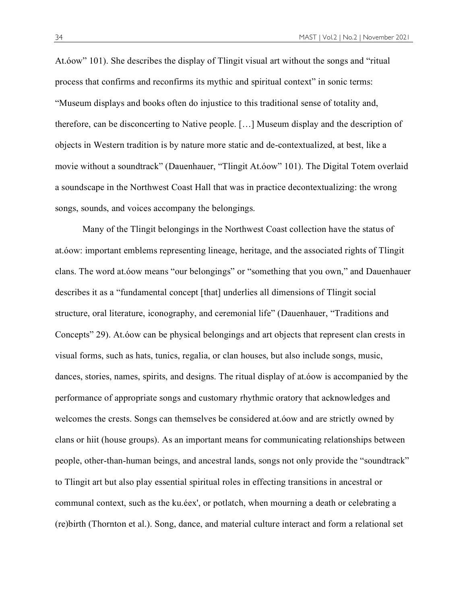At.óow" 101). She describes the display of Tlingit visual art without the songs and "ritual process that confirms and reconfirms its mythic and spiritual context" in sonic terms: "Museum displays and books often do injustice to this traditional sense of totality and, therefore, can be disconcerting to Native people. […] Museum display and the description of objects in Western tradition is by nature more static and de-contextualized, at best, like a movie without a soundtrack" (Dauenhauer, "Tlingit At.óow" 101). The Digital Totem overlaid a soundscape in the Northwest Coast Hall that was in practice decontextualizing: the wrong songs, sounds, and voices accompany the belongings.

Many of the Tlingit belongings in the Northwest Coast collection have the status of at.óow: important emblems representing lineage, heritage, and the associated rights of Tlingit clans. The word at.óow means "our belongings" or "something that you own," and Dauenhauer describes it as a "fundamental concept [that] underlies all dimensions of Tlingit social structure, oral literature, iconography, and ceremonial life" (Dauenhauer, "Traditions and Concepts" 29). At.óow can be physical belongings and art objects that represent clan crests in visual forms, such as hats, tunics, regalia, or clan houses, but also include songs, music, dances, stories, names, spirits, and designs. The ritual display of at.óow is accompanied by the performance of appropriate songs and customary rhythmic oratory that acknowledges and welcomes the crests. Songs can themselves be considered at.óow and are strictly owned by clans or hiit (house groups). As an important means for communicating relationships between people, other-than-human beings, and ancestral lands, songs not only provide the "soundtrack" to Tlingit art but also play essential spiritual roles in effecting transitions in ancestral or communal context, such as the ku.éex', or potlatch, when mourning a death or celebrating a (re)birth (Thornton et al.). Song, dance, and material culture interact and form a relational set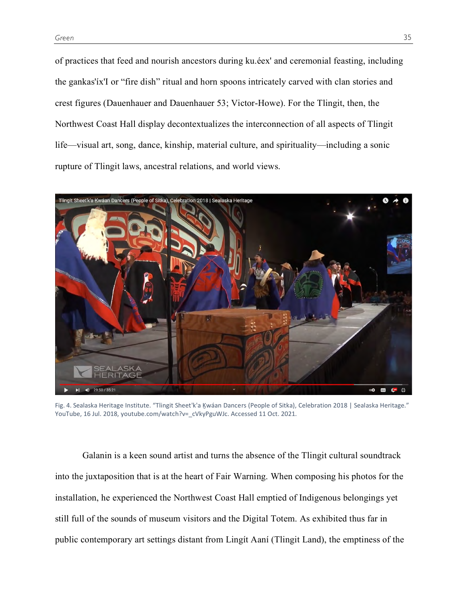of practices that feed and nourish ancestors during ku.éex' and ceremonial feasting, including the gankas'íx'I or "fire dish" ritual and horn spoons intricately carved with clan stories and crest figures (Dauenhauer and Dauenhauer 53; Victor-Howe). For the Tlingit, then, the Northwest Coast Hall display decontextualizes the interconnection of all aspects of Tlingit life—visual art, song, dance, kinship, material culture, and spirituality—including a sonic rupture of Tlingit laws, ancestral relations, and world views.



Fig. 4. Sealaska Heritage Institute. "Tlingit Sheet'k'a Ḵwáan Dancers (People of Sitka), Celebration 2018 | Sealaska Heritage." YouTube, 16 Jul. 2018, youtube.com/watch?v= cVkyPguWJc. Accessed 11 Oct. 2021.

Galanin is a keen sound artist and turns the absence of the Tlingit cultural soundtrack into the juxtaposition that is at the heart of Fair Warning. When composing his photos for the installation, he experienced the Northwest Coast Hall emptied of Indigenous belongings yet still full of the sounds of museum visitors and the Digital Totem. As exhibited thus far in public contemporary art settings distant from Lingít Aaní (Tlingit Land), the emptiness of the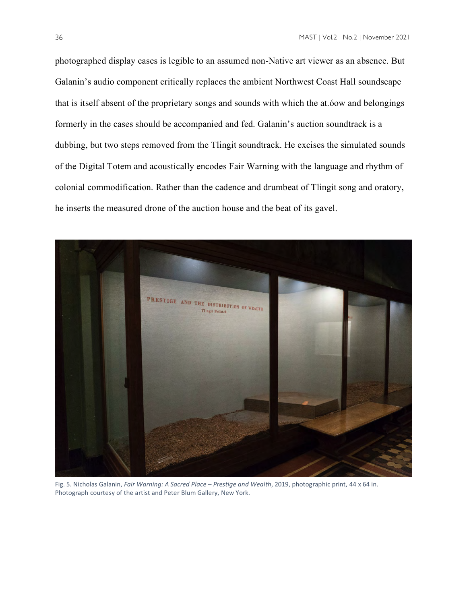photographed display cases is legible to an assumed non-Native art viewer as an absence. But Galanin's audio component critically replaces the ambient Northwest Coast Hall soundscape that is itself absent of the proprietary songs and sounds with which the at.óow and belongings formerly in the cases should be accompanied and fed. Galanin's auction soundtrack is a dubbing, but two steps removed from the Tlingit soundtrack. He excises the simulated sounds of the Digital Totem and acoustically encodes Fair Warning with the language and rhythm of colonial commodification. Rather than the cadence and drumbeat of Tlingit song and oratory, he inserts the measured drone of the auction house and the beat of its gavel.



Fig. 5. Nicholas Galanin, *Fair Warning: A Sacred Place – Prestige and Wealth*, 2019, photographic print, 44 x 64 in. Photograph courtesy of the artist and Peter Blum Gallery, New York.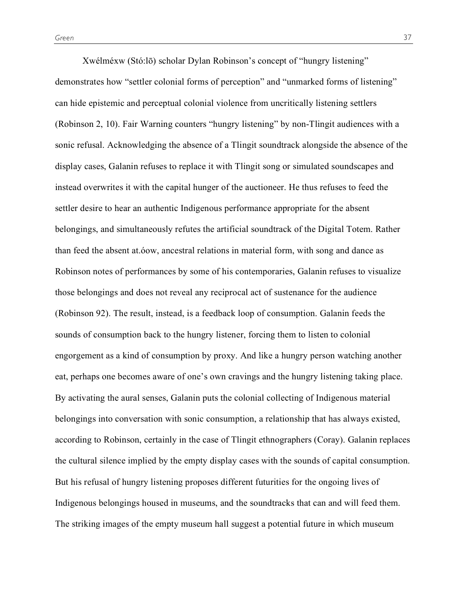Xwélméxw (Stó:lō) scholar Dylan Robinson's concept of "hungry listening" demonstrates how "settler colonial forms of perception" and "unmarked forms of listening" can hide epistemic and perceptual colonial violence from uncritically listening settlers (Robinson 2, 10). Fair Warning counters "hungry listening" by non-Tlingit audiences with a sonic refusal. Acknowledging the absence of a Tlingit soundtrack alongside the absence of the display cases, Galanin refuses to replace it with Tlingit song or simulated soundscapes and instead overwrites it with the capital hunger of the auctioneer. He thus refuses to feed the settler desire to hear an authentic Indigenous performance appropriate for the absent belongings, and simultaneously refutes the artificial soundtrack of the Digital Totem. Rather than feed the absent at.óow, ancestral relations in material form, with song and dance as Robinson notes of performances by some of his contemporaries, Galanin refuses to visualize those belongings and does not reveal any reciprocal act of sustenance for the audience (Robinson 92). The result, instead, is a feedback loop of consumption. Galanin feeds the sounds of consumption back to the hungry listener, forcing them to listen to colonial engorgement as a kind of consumption by proxy. And like a hungry person watching another eat, perhaps one becomes aware of one's own cravings and the hungry listening taking place. By activating the aural senses, Galanin puts the colonial collecting of Indigenous material belongings into conversation with sonic consumption, a relationship that has always existed, according to Robinson, certainly in the case of Tlingit ethnographers (Coray). Galanin replaces the cultural silence implied by the empty display cases with the sounds of capital consumption. But his refusal of hungry listening proposes different futurities for the ongoing lives of Indigenous belongings housed in museums, and the soundtracks that can and will feed them. The striking images of the empty museum hall suggest a potential future in which museum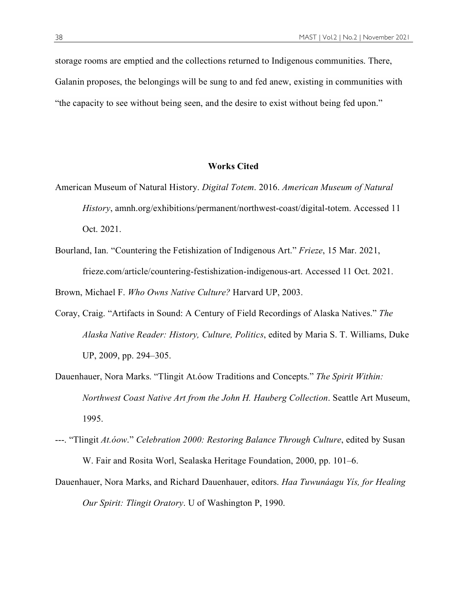storage rooms are emptied and the collections returned to Indigenous communities. There, Galanin proposes, the belongings will be sung to and fed anew, existing in communities with "the capacity to see without being seen, and the desire to exist without being fed upon."

## **Works Cited**

- American Museum of Natural History. *Digital Totem*. 2016. *American Museum of Natural History*, amnh.org/exhibitions/permanent/northwest-coast/digital-totem. Accessed 11 Oct. 2021.
- Bourland, Ian. "Countering the Fetishization of Indigenous Art." *Frieze*, 15 Mar. 2021, frieze.com/article/countering-festishization-indigenous-art. Accessed 11 Oct. 2021.

Brown, Michael F. *Who Owns Native Culture?* Harvard UP, 2003.

- Coray, Craig. "Artifacts in Sound: A Century of Field Recordings of Alaska Natives." *The Alaska Native Reader: History, Culture, Politics*, edited by Maria S. T. Williams, Duke UP, 2009, pp. 294–305.
- Dauenhauer, Nora Marks. "Tlingit At.óow Traditions and Concepts." *The Spirit Within: Northwest Coast Native Art from the John H. Hauberg Collection*. Seattle Art Museum, 1995.
- ---. "Tlingit *At.óow*." *Celebration 2000: Restoring Balance Through Culture*, edited by Susan W. Fair and Rosita Worl, Sealaska Heritage Foundation, 2000, pp. 101–6.
- Dauenhauer, Nora Marks, and Richard Dauenhauer, editors. *Haa Tuwunáagu Yís, for Healing Our Spirit: Tlingit Oratory*. U of Washington P, 1990.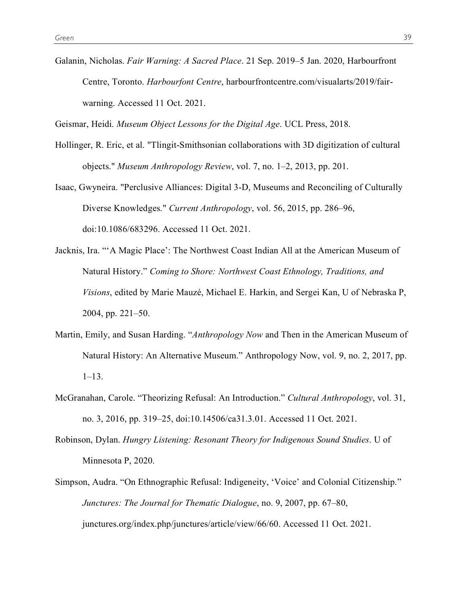Galanin, Nicholas. *Fair Warning: A Sacred Place*. 21 Sep. 2019–5 Jan. 2020, Harbourfront Centre, Toronto. *Harbourfont Centre*, harbourfrontcentre.com/visualarts/2019/fairwarning. Accessed 11 Oct. 2021.

Geismar, Heidi. *Museum Object Lessons for the Digital Age*. UCL Press, 2018.

- Hollinger, R. Eric, et al. "Tlingit-Smithsonian collaborations with 3D digitization of cultural objects." *Museum Anthropology Review*, vol. 7, no. 1–2, 2013, pp. 201.
- Isaac, Gwyneira. "Perclusive Alliances: Digital 3-D, Museums and Reconciling of Culturally Diverse Knowledges." *Current Anthropology*, vol. 56, 2015, pp. 286–96, doi:10.1086/683296. Accessed 11 Oct. 2021.
- Jacknis, Ira. "'A Magic Place': The Northwest Coast Indian All at the American Museum of Natural History." *Coming to Shore: Northwest Coast Ethnology, Traditions, and Visions*, edited by Marie Mauzé, Michael E. Harkin, and Sergei Kan, U of Nebraska P, 2004, pp. 221–50.
- Martin, Emily, and Susan Harding. "*Anthropology Now* and Then in the American Museum of Natural History: An Alternative Museum." Anthropology Now, vol. 9, no. 2, 2017, pp. 1–13.
- McGranahan, Carole. "Theorizing Refusal: An Introduction." *Cultural Anthropology*, vol. 31, no. 3, 2016, pp. 319–25, doi:10.14506/ca31.3.01. Accessed 11 Oct. 2021.
- Robinson, Dylan. *Hungry Listening: Resonant Theory for Indigenous Sound Studies*. U of Minnesota P, 2020.
- Simpson, Audra. "On Ethnographic Refusal: Indigeneity, 'Voice' and Colonial Citizenship." *Junctures: The Journal for Thematic Dialogue*, no. 9, 2007, pp. 67–80, junctures.org/index.php/junctures/article/view/66/60. Accessed 11 Oct. 2021.